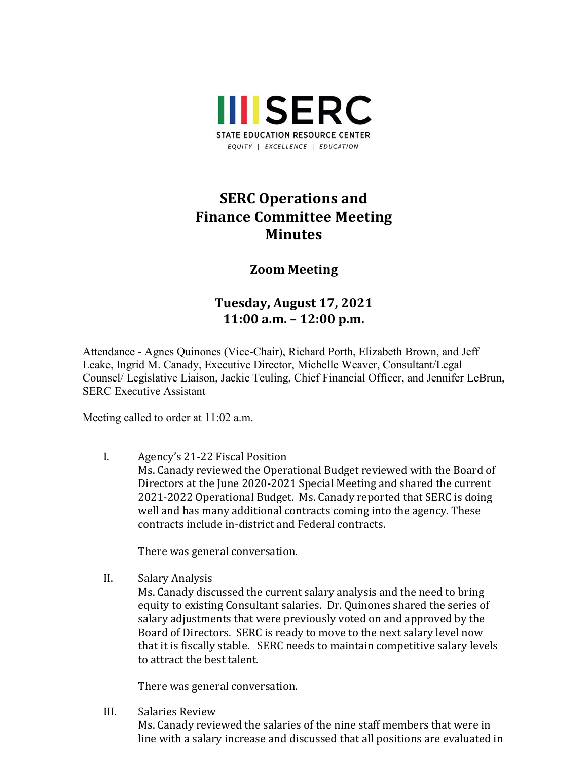

## **SERC Operations and Finance Committee Meeting Minutes**

## **Zoom Meeting**

## **Tuesday, August 17, 2021 11:00 a.m. – 12:00 p.m.**

Attendance - Agnes Quinones (Vice-Chair), Richard Porth, Elizabeth Brown, and Jeff Leake, Ingrid M. Canady, Executive Director, Michelle Weaver, Consultant/Legal Counsel/ Legislative Liaison, Jackie Teuling, Chief Financial Officer, and Jennifer LeBrun, SERC Executive Assistant

Meeting called to order at 11:02 a.m.

I. Agency's 21-22 Fiscal Position Ms. Canady reviewed the Operational Budget reviewed with the Board of Directors at the June 2020-2021 Special Meeting and shared the current 2021-2022 Operational Budget. Ms. Canady reported that SERC is doing well and has many additional contracts coming into the agency. These contracts include in-district and Federal contracts.

There was general conversation.

II. Salary Analysis

Ms. Canady discussed the current salary analysis and the need to bring equity to existing Consultant salaries. Dr. Quinones shared the series of salary adjustments that were previously voted on and approved by the Board of Directors. SERC is ready to move to the next salary level now that it is fiscally stable. SERC needs to maintain competitive salary levels to attract the best talent.

There was general conversation.

III. Salaries Review

Ms. Canady reviewed the salaries of the nine staff members that were in line with a salary increase and discussed that all positions are evaluated in